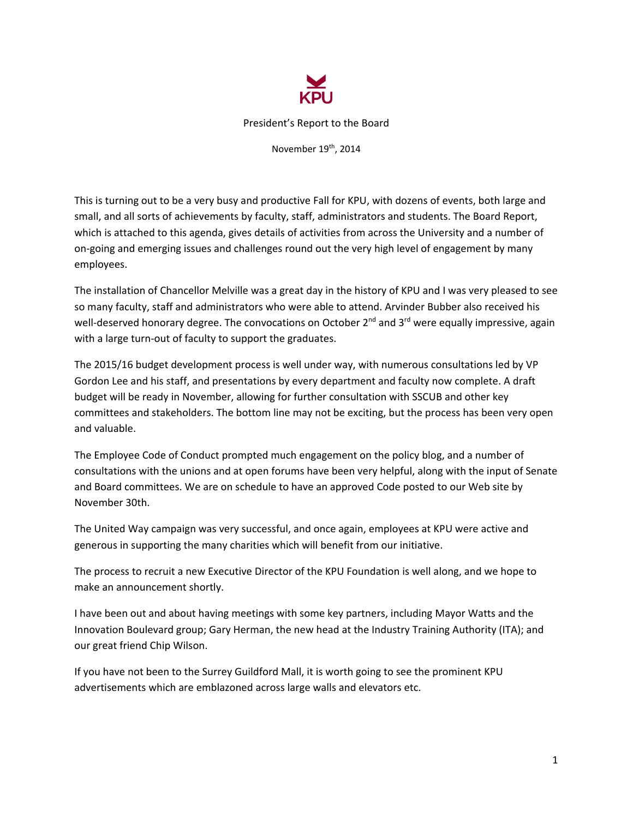

President's Report to the Board

November 19th, 2014

This is turning out to be a very busy and productive Fall for KPU, with dozens of events, both large and small, and all sorts of achievements by faculty, staff, administrators and students. The Board Report, which is attached to this agenda, gives details of activities from across the University and a number of on‐going and emerging issues and challenges round out the very high level of engagement by many employees.

The installation of Chancellor Melville was a great day in the history of KPU and I was very pleased to see so many faculty, staff and administrators who were able to attend. Arvinder Bubber also received his well-deserved honorary degree. The convocations on October 2<sup>nd</sup> and 3<sup>rd</sup> were equally impressive, again with a large turn-out of faculty to support the graduates.

The 2015/16 budget development process is well under way, with numerous consultations led by VP Gordon Lee and his staff, and presentations by every department and faculty now complete. A draft budget will be ready in November, allowing for further consultation with SSCUB and other key committees and stakeholders. The bottom line may not be exciting, but the process has been very open and valuable.

The Employee Code of Conduct prompted much engagement on the policy blog, and a number of consultations with the unions and at open forums have been very helpful, along with the input of Senate and Board committees. We are on schedule to have an approved Code posted to our Web site by November 30th.

The United Way campaign was very successful, and once again, employees at KPU were active and generous in supporting the many charities which will benefit from our initiative.

The process to recruit a new Executive Director of the KPU Foundation is well along, and we hope to make an announcement shortly.

I have been out and about having meetings with some key partners, including Mayor Watts and the Innovation Boulevard group; Gary Herman, the new head at the Industry Training Authority (ITA); and our great friend Chip Wilson.

If you have not been to the Surrey Guildford Mall, it is worth going to see the prominent KPU advertisements which are emblazoned across large walls and elevators etc.